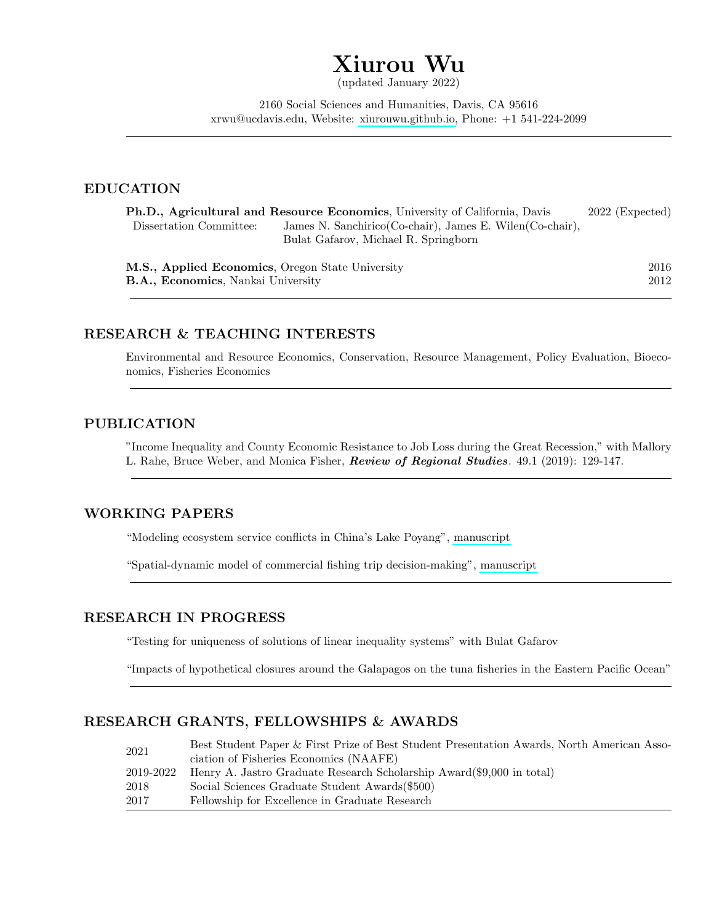# Xiurou Wu

(updated January 2022)

2160 Social Sciences and Humanities, Davis, CA 95616 xrwu@ucdavis.edu, Website: [xiurouwu.github.io,](xiurouwu.github.io) Phone: +1 541-224-2099

## EDUCATION

| <b>Ph.D., Agricultural and Resource Economics, University of California, Davis</b> | $2022$ (Expected)                                          |      |
|------------------------------------------------------------------------------------|------------------------------------------------------------|------|
| Dissertation Committee:                                                            | James N. Sanchirico (Co-chair), James E. Wilen (Co-chair), |      |
|                                                                                    | Bulat Gafarov, Michael R. Springborn                       |      |
| <b>M.S., Applied Economics</b> , Oregon State University                           | 2016                                                       |      |
| <b>B.A., Economics, Nankai University</b>                                          |                                                            | 2012 |

# RESEARCH & TEACHING INTERESTS

Environmental and Resource Economics, Conservation, Resource Management, Policy Evaluation, Bioeconomics, Fisheries Economics

# PUBLICATION

"Income Inequality and County Economic Resistance to Job Loss during the Great Recession," with Mallory L. Rahe, Bruce Weber, and Monica Fisher, Review of Regional Studies. 49.1 (2019): 129-147.

# WORKING PAPERS

"Modeling ecosystem service conflicts in China's Lake Poyang", [manuscript](https://xiurouwu.github.io/research/lake_poyang_XW.pdf)

"Spatial-dynamic model of commercial fishing trip decision-making", [manuscript](https://xiurouwu.github.io/research/location_choice_XW.pdf)

## RESEARCH IN PROGRESS

"Testing for uniqueness of solutions of linear inequality systems" with Bulat Gafarov

"Impacts of hypothetical closures around the Galapagos on the tuna fisheries in the Eastern Pacific Ocean"

## RESEARCH GRANTS, FELLOWSHIPS & AWARDS

| 2021      | Best Student Paper & First Prize of Best Student Presentation Awards, North American Asso- |
|-----------|--------------------------------------------------------------------------------------------|
|           | ciation of Fisheries Economics (NAAFE)                                                     |
| 2019-2022 | Henry A. Jastro Graduate Research Scholarship Award (\$9,000 in total)                     |
| 2018-     | Social Sciences Graduate Student Awards (\$500)                                            |
| 2017      | Fellowship for Excellence in Graduate Research                                             |
|           |                                                                                            |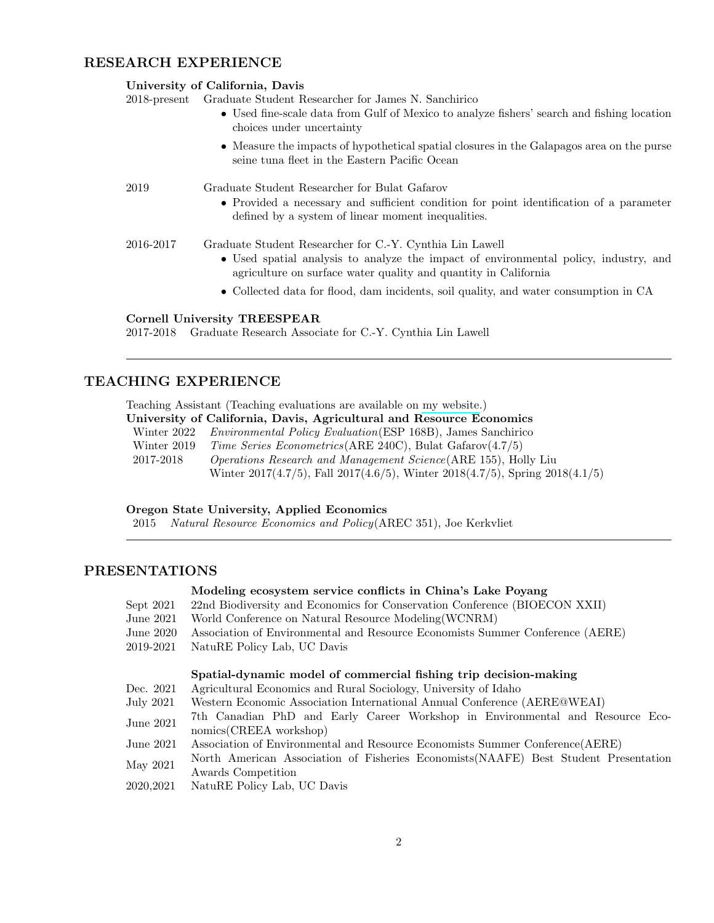#### RESEARCH EXPERIENCE

|                 | University of California, Davis                                                                                                                         |  |
|-----------------|---------------------------------------------------------------------------------------------------------------------------------------------------------|--|
| $2018$ -present | Graduate Student Researcher for James N. Sanchirico                                                                                                     |  |
|                 | • Used fine-scale data from Gulf of Mexico to analyze fishers' search and fishing location<br>choices under uncertainty                                 |  |
|                 | • Measure the impacts of hypothetical spatial closures in the Galapagos area on the purse<br>seine tuna fleet in the Eastern Pacific Ocean              |  |
| 2019            | Graduate Student Researcher for Bulat Gafarov                                                                                                           |  |
|                 | • Provided a necessary and sufficient condition for point identification of a parameter<br>defined by a system of linear moment inequalities.           |  |
| 2016-2017       | Graduate Student Researcher for C.-Y. Cynthia Lin Lawell                                                                                                |  |
|                 | • Used spatial analysis to analyze the impact of environmental policy, industry, and<br>agriculture on surface water quality and quantity in California |  |
|                 | • Collected data for flood, dam incidents, soil quality, and water consumption in CA                                                                    |  |

#### Cornell University TREESPEAR

2017-2018 Graduate Research Associate for C.-Y. Cynthia Lin Lawell

### TEACHING EXPERIENCE

Teaching Assistant (Teaching evaluations are available on [my website.](https://xiurouwu.github.io/teaching/))

| University of California, Davis, Agricultural and Resource Economics |                                                                          |  |  |
|----------------------------------------------------------------------|--------------------------------------------------------------------------|--|--|
|                                                                      | Winter 2022 Environmental Policy Evaluation (ESP 168B), James Sanchirico |  |  |
| Winter 2019                                                          | <i>Time Series Econometrics</i> (ARE 240C), Bulat Gafarov $(4.7/5)$      |  |  |
| 2017-2018                                                            | <i>Operations Research and Management Science</i> (ARE 155), Holly Liu   |  |  |

Winter 2017(4.7/5), Fall 2017(4.6/5), Winter 2018(4.7/5), Spring 2018(4.1/5)

#### Oregon State University, Applied Economics

2015 Natural Resource Economics and Policy(AREC 351), Joe Kerkvliet

# PRESENTATIONS

#### Modeling ecosystem service conflicts in China's Lake Poyang

- Sept 2021 22nd Biodiversity and Economics for Conservation Conference (BIOECON XXII)
- June 2021 World Conference on Natural Resource Modeling(WCNRM)
- June 2020 Association of Environmental and Resource Economists Summer Conference (AERE)
- 2019-2021 NatuRE Policy Lab, UC Davis

#### Spatial-dynamic model of commercial fishing trip decision-making

- Dec. 2021 Agricultural Economics and Rural Sociology, University of Idaho
- July 2021 Western Economic Association International Annual Conference (AERE@WEAI)
- June 2021 7th Canadian PhD and Early Career Workshop in Environmental and Resource Economics(CREEA workshop)
- June 2021 Association of Environmental and Resource Economists Summer Conference(AERE)
- May 2021 North American Association of Fisheries Economists(NAAFE) Best Student Presentation Awards Competition
- 2020,2021 NatuRE Policy Lab, UC Davis